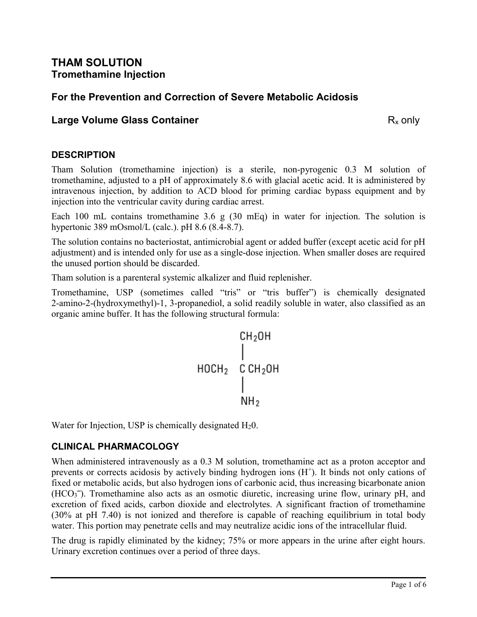## **THAM SOLUTION Tromethamine Injection**

# **For the Prevention and Correction of Severe Metabolic Acidosis**

## **Large Volume Glass Container R**<sub>x</sub> only

## **DESCRIPTION**

Tham Solution (tromethamine injection) is a sterile, non-pyrogenic 0.3 M solution of tromethamine, adjusted to a pH of approximately 8.6 with glacial acetic acid. It is administered by intravenous injection, by addition to ACD blood for priming cardiac bypass equipment and by injection into the ventricular cavity during cardiac arrest.

Each 100 mL contains tromethamine 3.6 g (30 mEq) in water for injection. The solution is hypertonic 389 mOsmol/L (calc.). pH 8.6 (8.4-8.7).

The solution contains no bacteriostat, antimicrobial agent or added buffer (except acetic acid for pH adjustment) and is intended only for use as a single-dose injection. When smaller doses are required the unused portion should be discarded.

Tham solution is a parenteral systemic alkalizer and fluid replenisher.

Tromethamine, USP (sometimes called "tris" or "tris buffer") is chemically designated 2-amino-2-(hydroxymethyl)-1, 3-propanediol, a solid readily soluble in water, also classified as an organic amine buffer. It has the following structural formula:



Water for Injection, USP is chemically designated  $H_20$ .

## **CLINICAL PHARMACOLOGY**

When administered intravenously as a 0.3 M solution, tromethamine act as a proton acceptor and prevents or corrects acidosis by actively binding hydrogen ions  $(H<sup>+</sup>)$ . It binds not only cations of fixed or metabolic acids, but also hydrogen ions of carbonic acid, thus increasing bicarbonate anion  $(HCO<sub>3</sub>)$ . Tromethamine also acts as an osmotic diuretic, increasing urine flow, urinary pH, and excretion of fixed acids, carbon dioxide and electrolytes. A significant fraction of tromethamine (30% at pH 7.40) is not ionized and therefore is capable of reaching equilibrium in total body water. This portion may penetrate cells and may neutralize acidic ions of the intracellular fluid.

The drug is rapidly eliminated by the kidney; 75% or more appears in the urine after eight hours. Urinary excretion continues over a period of three days.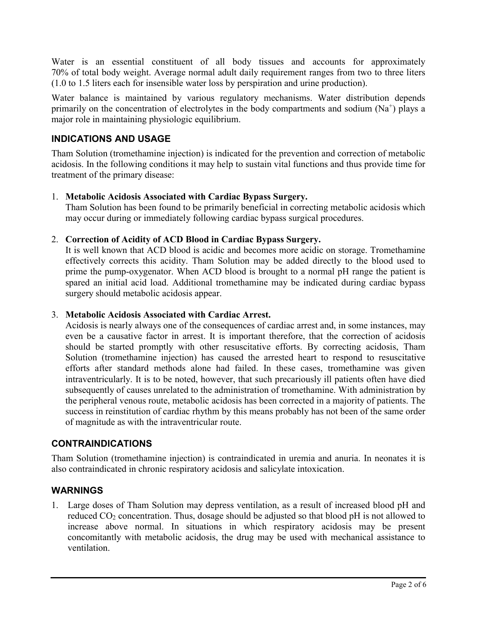Water is an essential constituent of all body tissues and accounts for approximately 70% of total body weight. Average normal adult daily requirement ranges from two to three liters (1.0 to 1.5 liters each for insensible water loss by perspiration and urine production).

Water balance is maintained by various regulatory mechanisms. Water distribution depends primarily on the concentration of electrolytes in the body compartments and sodium  $(Na^+)$  plays a major role in maintaining physiologic equilibrium.

## **INDICATIONS AND USAGE**

Tham Solution (tromethamine injection) is indicated for the prevention and correction of metabolic acidosis. In the following conditions it may help to sustain vital functions and thus provide time for treatment of the primary disease:

#### 1. **Metabolic Acidosis Associated with Cardiac Bypass Surgery.**

Tham Solution has been found to be primarily beneficial in correcting metabolic acidosis which may occur during or immediately following cardiac bypass surgical procedures.

#### 2. **Correction of Acidity of ACD Blood in Cardiac Bypass Surgery.**

It is well known that ACD blood is acidic and becomes more acidic on storage. Tromethamine effectively corrects this acidity. Tham Solution may be added directly to the blood used to prime the pump-oxygenator. When ACD blood is brought to a normal pH range the patient is spared an initial acid load. Additional tromethamine may be indicated during cardiac bypass surgery should metabolic acidosis appear.

## 3. **Metabolic Acidosis Associated with Cardiac Arrest.**

Acidosis is nearly always one of the consequences of cardiac arrest and, in some instances, may even be a causative factor in arrest. It is important therefore, that the correction of acidosis should be started promptly with other resuscitative efforts. By correcting acidosis, Tham Solution (tromethamine injection) has caused the arrested heart to respond to resuscitative efforts after standard methods alone had failed. In these cases, tromethamine was given intraventricularly. It is to be noted, however, that such precariously ill patients often have died subsequently of causes unrelated to the administration of tromethamine. With administration by the peripheral venous route, metabolic acidosis has been corrected in a majority of patients. The success in reinstitution of cardiac rhythm by this means probably has not been of the same order of magnitude as with the intraventricular route.

## **CONTRAINDICATIONS**

Tham Solution (tromethamine injection) is contraindicated in uremia and anuria. In neonates it is also contraindicated in chronic respiratory acidosis and salicylate intoxication.

## **WARNINGS**

1. Large doses of Tham Solution may depress ventilation, as a result of increased blood pH and reduced  $CO_2$  concentration. Thus, dosage should be adjusted so that blood pH is not allowed to increase above normal. In situations in which respiratory acidosis may be present concomitantly with metabolic acidosis, the drug may be used with mechanical assistance to ventilation.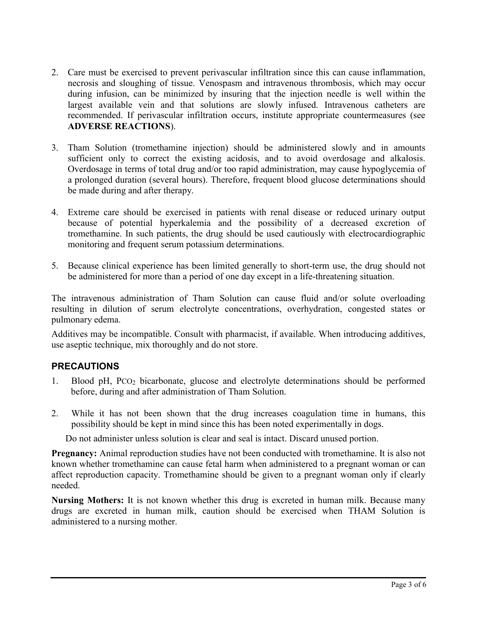- 2. Care must be exercised to prevent perivascular infiltration since this can cause inflammation, necrosis and sloughing of tissue. Venospasm and intravenous thrombosis, which may occur during infusion, can be minimized by insuring that the injection needle is well within the largest available vein and that solutions are slowly infused. Intravenous catheters are recommended. If perivascular infiltration occurs, institute appropriate countermeasures (see **ADVERSE REACTIONS**).
- 3. Tham Solution (tromethamine injection) should be administered slowly and in amounts sufficient only to correct the existing acidosis, and to avoid overdosage and alkalosis. Overdosage in terms of total drug and/or too rapid administration, may cause hypoglycemia of a prolonged duration (several hours). Therefore, frequent blood glucose determinations should be made during and after therapy.
- 4. Extreme care should be exercised in patients with renal disease or reduced urinary output because of potential hyperkalemia and the possibility of a decreased excretion of tromethamine. In such patients, the drug should be used cautiously with electrocardiographic monitoring and frequent serum potassium determinations.
- 5. Because clinical experience has been limited generally to short-term use, the drug should not be administered for more than a period of one day except in a life-threatening situation.

The intravenous administration of Tham Solution can cause fluid and/or solute overloading resulting in dilution of serum electrolyte concentrations, overhydration, congested states or pulmonary edema.

Additives may be incompatible. Consult with pharmacist, if available. When introducing additives, use aseptic technique, mix thoroughly and do not store.

## **PRECAUTIONS**

- 1. Blood pH, PCO<sup>2</sup> bicarbonate, glucose and electrolyte determinations should be performed before, during and after administration of Tham Solution.
- 2. While it has not been shown that the drug increases coagulation time in humans, this possibility should be kept in mind since this has been noted experimentally in dogs.

Do not administer unless solution is clear and seal is intact. Discard unused portion.

**Pregnancy:** Animal reproduction studies have not been conducted with tromethamine. It is also not known whether tromethamine can cause fetal harm when administered to a pregnant woman or can affect reproduction capacity. Tromethamine should be given to a pregnant woman only if clearly needed.

**Nursing Mothers:** It is not known whether this drug is excreted in human milk. Because many drugs are excreted in human milk, caution should be exercised when THAM Solution is administered to a nursing mother.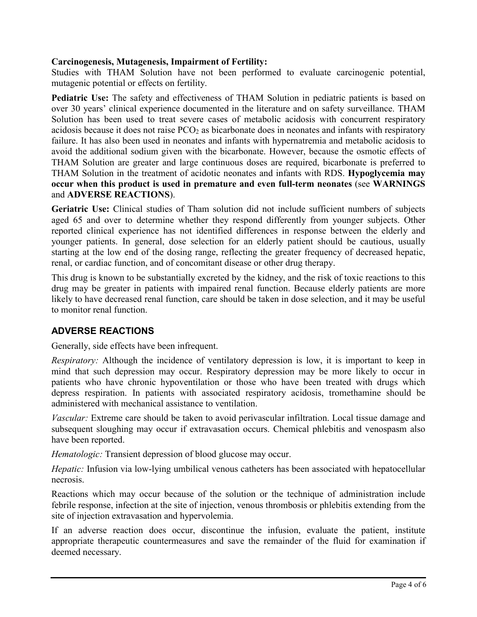#### **Carcinogenesis, Mutagenesis, Impairment of Fertility:**

Studies with THAM Solution have not been performed to evaluate carcinogenic potential, mutagenic potential or effects on fertility.

**Pediatric Use:** The safety and effectiveness of THAM Solution in pediatric patients is based on over 30 years' clinical experience documented in the literature and on safety surveillance. THAM Solution has been used to treat severe cases of metabolic acidosis with concurrent respiratory acidosis because it does not raise PCO<sub>2</sub> as bicarbonate does in neonates and infants with respiratory failure. It has also been used in neonates and infants with hypernatremia and metabolic acidosis to avoid the additional sodium given with the bicarbonate. However, because the osmotic effects of THAM Solution are greater and large continuous doses are required, bicarbonate is preferred to THAM Solution in the treatment of acidotic neonates and infants with RDS. **Hypoglycemia may occur when this product is used in premature and even full-term neonates** (see **WARNINGS**  and **ADVERSE REACTIONS**).

**Geriatric Use:** Clinical studies of Tham solution did not include sufficient numbers of subjects aged 65 and over to determine whether they respond differently from younger subjects. Other reported clinical experience has not identified differences in response between the elderly and younger patients. In general, dose selection for an elderly patient should be cautious, usually starting at the low end of the dosing range, reflecting the greater frequency of decreased hepatic, renal, or cardiac function, and of concomitant disease or other drug therapy.

This drug is known to be substantially excreted by the kidney, and the risk of toxic reactions to this drug may be greater in patients with impaired renal function. Because elderly patients are more likely to have decreased renal function, care should be taken in dose selection, and it may be useful to monitor renal function.

## **ADVERSE REACTIONS**

Generally, side effects have been infrequent.

*Respiratory:* Although the incidence of ventilatory depression is low, it is important to keep in mind that such depression may occur. Respiratory depression may be more likely to occur in patients who have chronic hypoventilation or those who have been treated with drugs which depress respiration. In patients with associated respiratory acidosis, tromethamine should be administered with mechanical assistance to ventilation.

*Vascular:* Extreme care should be taken to avoid perivascular infiltration. Local tissue damage and subsequent sloughing may occur if extravasation occurs. Chemical phlebitis and venospasm also have been reported.

*Hematologic:* Transient depression of blood glucose may occur.

*Hepatic:* Infusion via low-lying umbilical venous catheters has been associated with hepatocellular necrosis.

Reactions which may occur because of the solution or the technique of administration include febrile response, infection at the site of injection, venous thrombosis or phlebitis extending from the site of injection extravasation and hypervolemia.

If an adverse reaction does occur, discontinue the infusion, evaluate the patient, institute appropriate therapeutic countermeasures and save the remainder of the fluid for examination if deemed necessary.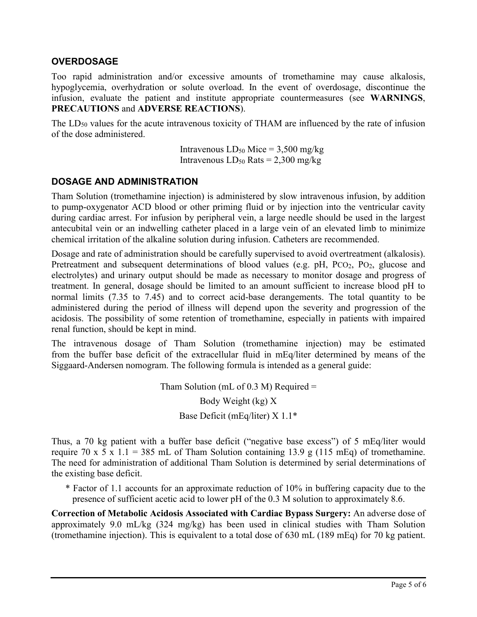#### **OVERDOSAGE**

Too rapid administration and/or excessive amounts of tromethamine may cause alkalosis, hypoglycemia, overhydration or solute overload. In the event of overdosage, discontinue the infusion, evaluate the patient and institute appropriate countermeasures (see **WARNINGS**, **PRECAUTIONS** and **ADVERSE REACTIONS**).

The  $LD_{50}$  values for the acute intravenous toxicity of THAM are influenced by the rate of infusion of the dose administered.

> Intravenous  $LD_{50}$  Mice = 3,500 mg/kg Intravenous  $LD_{50}$  Rats = 2,300 mg/kg

#### **DOSAGE AND ADMINISTRATION**

Tham Solution (tromethamine injection) is administered by slow intravenous infusion, by addition to pump-oxygenator ACD blood or other priming fluid or by injection into the ventricular cavity during cardiac arrest. For infusion by peripheral vein, a large needle should be used in the largest antecubital vein or an indwelling catheter placed in a large vein of an elevated limb to minimize chemical irritation of the alkaline solution during infusion. Catheters are recommended.

Dosage and rate of administration should be carefully supervised to avoid overtreatment (alkalosis). Pretreatment and subsequent determinations of blood values (e.g.  $pH$ , PCO<sub>2</sub>, PO<sub>2</sub>, glucose and electrolytes) and urinary output should be made as necessary to monitor dosage and progress of treatment. In general, dosage should be limited to an amount sufficient to increase blood pH to normal limits (7.35 to 7.45) and to correct acid-base derangements. The total quantity to be administered during the period of illness will depend upon the severity and progression of the acidosis. The possibility of some retention of tromethamine, especially in patients with impaired renal function, should be kept in mind.

The intravenous dosage of Tham Solution (tromethamine injection) may be estimated from the buffer base deficit of the extracellular fluid in mEq/liter determined by means of the Siggaard-Andersen nomogram. The following formula is intended as a general guide:

> Tham Solution (mL of  $0.3$  M) Required = Body Weight (kg) X Base Deficit (mEq/liter) X 1.1\*

Thus, a 70 kg patient with a buffer base deficit ("negative base excess") of 5 mEq/liter would require 70 x 5 x 1.1 = 385 mL of Tham Solution containing 13.9 g (115 mEq) of tromethamine. The need for administration of additional Tham Solution is determined by serial determinations of the existing base deficit.

\* Factor of 1.1 accounts for an approximate reduction of 10% in buffering capacity due to the presence of sufficient acetic acid to lower pH of the 0.3 M solution to approximately 8.6.

**Correction of Metabolic Acidosis Associated with Cardiac Bypass Surgery:** An adverse dose of approximately 9.0 mL/kg (324 mg/kg) has been used in clinical studies with Tham Solution (tromethamine injection). This is equivalent to a total dose of 630 mL (189 mEq) for 70 kg patient.